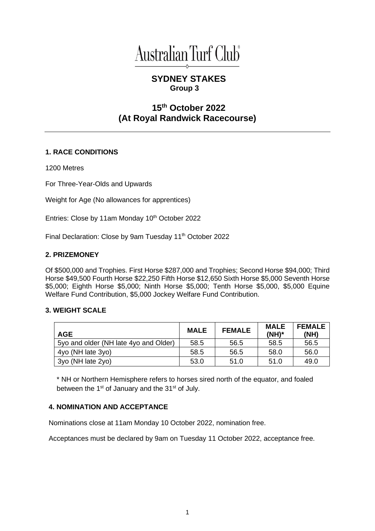

# **SYDNEY STAKES Group 3**

# **15 th October 2022 (At Royal Randwick Racecourse)**

# **1. RACE CONDITIONS**

1200 Metres

For Three-Year-Olds and Upwards

Weight for Age (No allowances for apprentices)

Entries: Close by 11am Monday 10<sup>th</sup> October 2022

Final Declaration: Close by 9am Tuesday 11<sup>th</sup> October 2022

### **2. PRIZEMONEY**

Of \$500,000 and Trophies. First Horse \$287,000 and Trophies; Second Horse \$94,000; Third Horse \$49,500 Fourth Horse \$22,250 Fifth Horse \$12,650 Sixth Horse \$5,000 Seventh Horse \$5,000; Eighth Horse \$5,000; Ninth Horse \$5,000; Tenth Horse \$5,000, \$5,000 Equine Welfare Fund Contribution, \$5,000 Jockey Welfare Fund Contribution.

#### **3. WEIGHT SCALE**

| <b>AGE</b>                            | <b>MALE</b> | <b>FEMALE</b> | <b>MALE</b><br>$(NH)^*$ | <b>FEMALE</b><br>(MH) |
|---------------------------------------|-------------|---------------|-------------------------|-----------------------|
| 5yo and older (NH late 4yo and Older) | 58.5        | 56.5          | 58.5                    | 56.5                  |
| 4yo (NH late 3yo)                     | 58.5        | 56.5          | 58.0                    | 56.0                  |
| 3yo (NH late 2yo)                     | 53.0        | 51.0          | 51.0                    | 49.0                  |

\* NH or Northern Hemisphere refers to horses sired north of the equator, and foaled between the 1<sup>st</sup> of January and the 31<sup>st</sup> of July.

# **4. NOMINATION AND ACCEPTANCE**

Nominations close at 11am Monday 10 October 2022, nomination free.

Acceptances must be declared by 9am on Tuesday 11 October 2022, acceptance free.